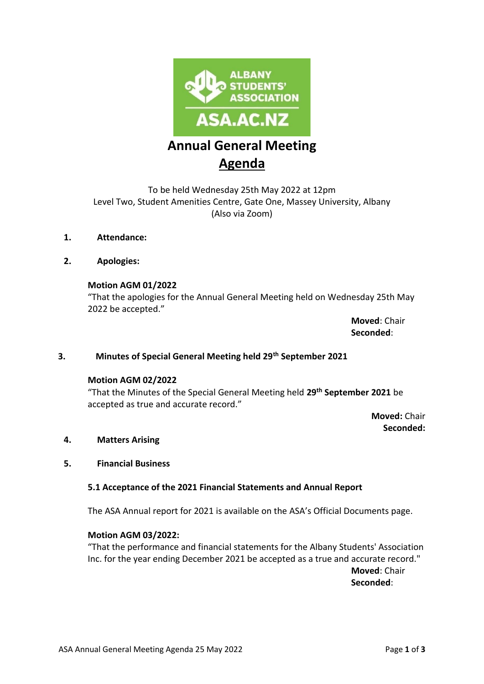

# **Annual General Meeting Agenda**

To be held Wednesday 25th May 2022 at 12pm Level Two, Student Amenities Centre, Gate One, Massey University, Albany (Also via Zoom)

- **1. Attendance:**
- **2. Apologies:**

## **Motion AGM 01/2022**

"That the apologies for the Annual General Meeting held on Wednesday 25th May 2022 be accepted."

> **Moved**: Chair **Seconded**:

#### **3. Minutes of Special General Meeting held 29th September 2021**

#### **Motion AGM 02/2022**

"That the Minutes of the Special General Meeting held **29th September 2021** be accepted as true and accurate record."

> **Moved:** Chair **Seconded:**

#### **4. Matters Arising**

#### **5. Financial Business**

#### **5.1 Acceptance of the 2021 Financial Statements and Annual Report**

The ASA Annual report for 2021 is available on the ASA's Official Documents page.

#### **Motion AGM 03/2022:**

"That the performance and financial statements for the Albany Students' Association Inc. for the year ending December 2021 be accepted as a true and accurate record." **Moved**: Chair **Seconded**:

ASA Annual General Meeting Agenda 25 May 2022 **Page 1** of 3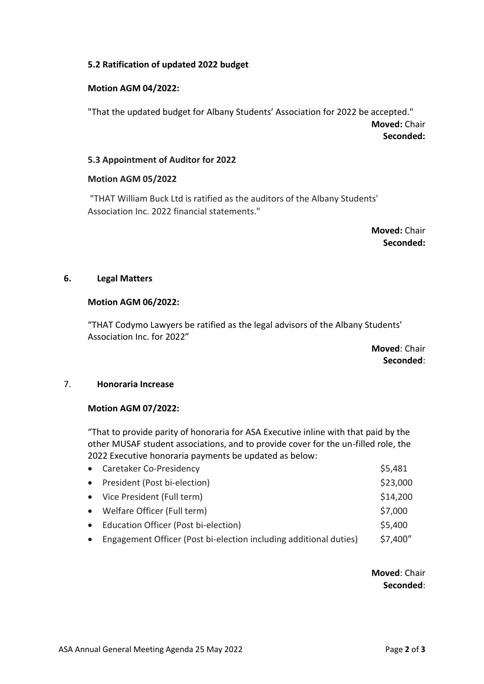## **5.2 Ratification of updated 2022 budget**

#### **Motion AGM 04/2022:**

"That the updated budget for Albany Students' Association for 2022 be accepted." **Moved:** Chair **Seconded:** 

#### **5.3 Appointment of Auditor for 2022**

#### **Motion AGM 05/2022**

"THAT William Buck Ltd is ratified as the auditors of the Albany Students' Association Inc. 2022 financial statements."

> **Moved:** Chair **Seconded:**

## **6. Legal Matters**

#### **Motion AGM 06/2022:**

"THAT Codymo Lawyers be ratified as the legal advisors of the Albany Students' Association Inc. for 2022"

> **Moved**: Chair **Seconded**:

#### 7. **Honoraria Increase**

## **Motion AGM 07/2022:**

"That to provide parity of honoraria for ASA Executive inline with that paid by the other MUSAF student associations, and to provide cover for the un-filled role, the 2022 Executive honoraria payments be updated as below:

| • President (Post bi-election)<br>• Vice President (Full term)<br>• Welfare Officer (Full term)<br>• Education Officer (Post bi-election)<br>Engagement Officer (Post bi-election including additional duties)<br>$\bullet$ | • Caretaker Co-Presidency | \$5,481  |
|-----------------------------------------------------------------------------------------------------------------------------------------------------------------------------------------------------------------------------|---------------------------|----------|
|                                                                                                                                                                                                                             |                           | \$23,000 |
|                                                                                                                                                                                                                             |                           | \$14,200 |
|                                                                                                                                                                                                                             |                           | \$7,000  |
|                                                                                                                                                                                                                             |                           | \$5,400  |
|                                                                                                                                                                                                                             |                           | \$7,400" |

## **Moved**: Chair **Seconded**: